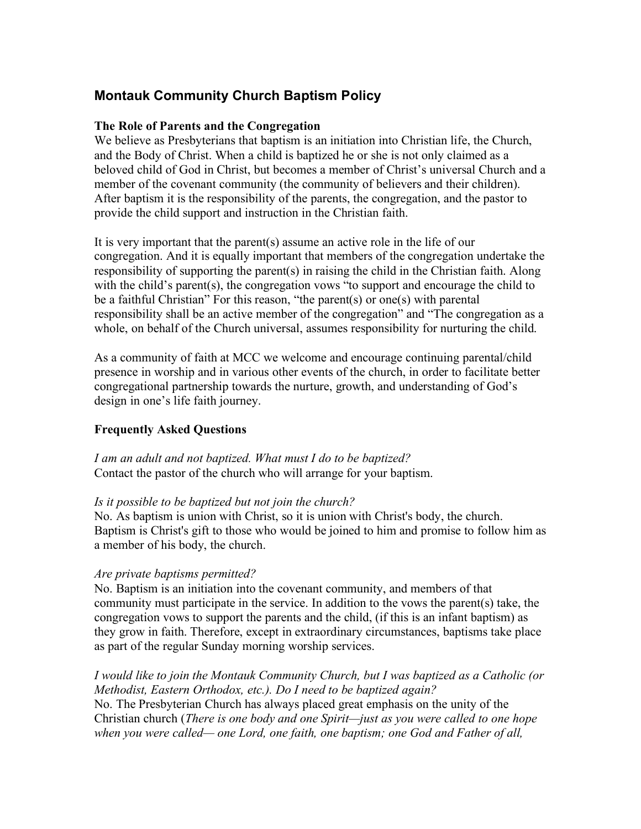# **Montauk Community Church Baptism Policy**

#### **The Role of Parents and the Congregation**

We believe as Presbyterians that baptism is an initiation into Christian life, the Church, and the Body of Christ. When a child is baptized he or she is not only claimed as a beloved child of God in Christ, but becomes a member of Christ's universal Church and a member of the covenant community (the community of believers and their children). After baptism it is the responsibility of the parents, the congregation, and the pastor to provide the child support and instruction in the Christian faith.

It is very important that the parent(s) assume an active role in the life of our congregation. And it is equally important that members of the congregation undertake the responsibility of supporting the parent(s) in raising the child in the Christian faith. Along with the child's parent(s), the congregation vows "to support and encourage the child to be a faithful Christian" For this reason, "the parent(s) or one(s) with parental responsibility shall be an active member of the congregation" and "The congregation as a whole, on behalf of the Church universal, assumes responsibility for nurturing the child.

As a community of faith at MCC we welcome and encourage continuing parental/child presence in worship and in various other events of the church, in order to facilitate better congregational partnership towards the nurture, growth, and understanding of God's design in one's life faith journey.

#### **Frequently Asked Questions**

*I am an adult and not baptized. What must I do to be baptized?* Contact the pastor of the church who will arrange for your baptism.

#### *Is it possible to be baptized but not join the church?*

No. As baptism is union with Christ, so it is union with Christ's body, the church. Baptism is Christ's gift to those who would be joined to him and promise to follow him as a member of his body, the church.

#### *Are private baptisms permitted?*

No. Baptism is an initiation into the covenant community, and members of that community must participate in the service. In addition to the vows the parent(s) take, the congregation vows to support the parents and the child, (if this is an infant baptism) as they grow in faith. Therefore, except in extraordinary circumstances, baptisms take place as part of the regular Sunday morning worship services.

*I would like to join the Montauk Community Church, but I was baptized as a Catholic (or Methodist, Eastern Orthodox, etc.). Do I need to be baptized again?* No. The Presbyterian Church has always placed great emphasis on the unity of the Christian church (*There is one body and one Spirit—just as you were called to one hope when you were called— one Lord, one faith, one baptism; one God and Father of all,*